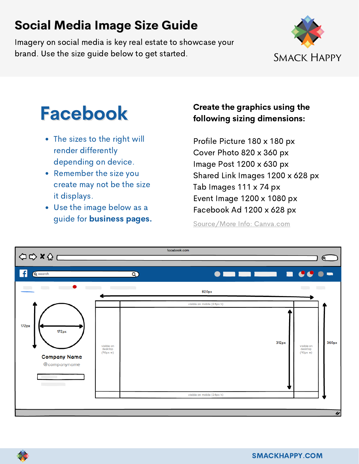Imagery on social media is key real estate to showcase your brand. Use the size guide below to get started.



# Facebook

- The sizes to the right will render differently depending on device.
- Remember the size you create may not be the size it displays.
- Use the image below as a guide for business pages.

#### Create the graphics using the following sizing dimensions:

Profile Picture 180 x 180 px Cover Photo 820 x 360 px Image Post 1200 x 630 px Shared Link Images 1200 x 628 px Tab Images 111 x 74 px Event Image 1200 x 1080 px Facebook Ad 1200 x 628 px

| OOXQ-                                                 |                                   |                               | facebook.com |                            |                                    |                                   | ୧     |
|-------------------------------------------------------|-----------------------------------|-------------------------------|--------------|----------------------------|------------------------------------|-----------------------------------|-------|
| f<br>Q search                                         |                                   | $\infty$                      |              |                            | <b>O MOI MOI MARKET DI CCC O -</b> |                                   |       |
|                                                       |                                   | the control of the control of |              | 820px                      |                                    |                                   |       |
| 172px<br>172px<br><b>Company Name</b><br>@companyname | visible on<br>desktop<br>(90px w) |                               |              | visible on mobile (24px h) | 312px                              | visible on<br>desktop<br>(90px w) | 360px |
|                                                       | visible on mobile (24px h)        |                               |              |                            |                                    |                                   |       |
|                                                       |                                   |                               |              |                            |                                    |                                   | u     |

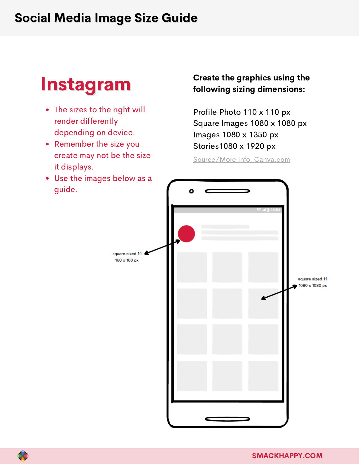## Instagram

- The sizes to the right will render differently depending on device.
- Remember the size you create may not be the size it displays.
- Use the images below as a guide.

#### Create the graphics using the following sizing dimensions:

Profile Photo 110 x 110 px Square Images 1080 x 1080 px Images 1080 x 1350 px Stories1080 x 1920 px



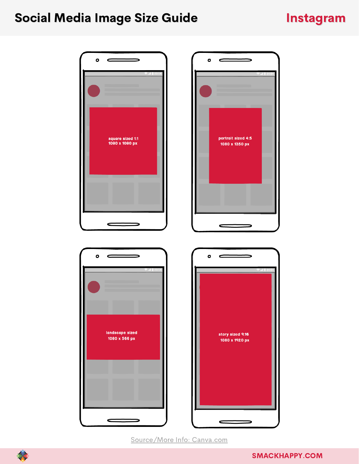#### Instagram

 $\overline{\phantom{0}}$ 





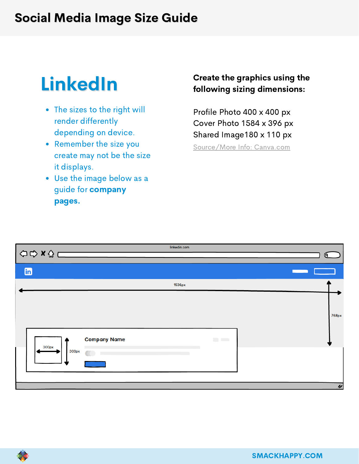# LinkedIn

- The sizes to the right will render differently depending on device.
- Remember the size you create may not be the size it displays.
- Use the image below as a guide for company pages.

#### Create the graphics using the following sizing dimensions:

Profile Photo 400 x 400 px Cover Photo 1584 x 396 px Shared Image180 x 110 px

|           |                     | linkedin.com |                                                               | $\mathbf{G}$             |
|-----------|---------------------|--------------|---------------------------------------------------------------|--------------------------|
| <b>in</b> |                     |              |                                                               | <b>Contract Contract</b> |
|           |                     | 1536px       |                                                               |                          |
| 300px     | <b>Company Name</b> |              | $\mathcal{L}^{\mathcal{A}}$ . The $\mathcal{L}^{\mathcal{A}}$ | 768px                    |
| 300px     |                     |              |                                                               |                          |
|           |                     |              |                                                               | $\gamma$                 |